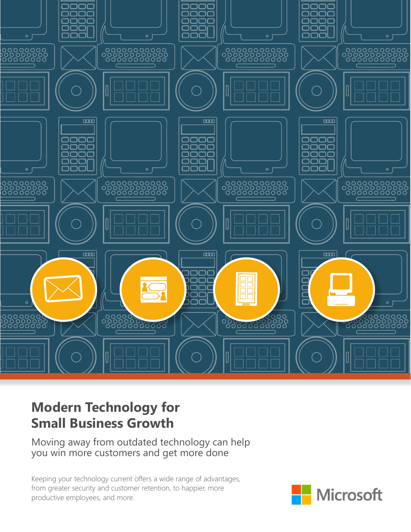

# **Modern Technology for Small Business Growth**

Moving away from outdated technology can help you win more customers and get more done

Keeping your technology current offers a wide range of advantages, from greater security and customer retention, to happier, more productive employees, and more.

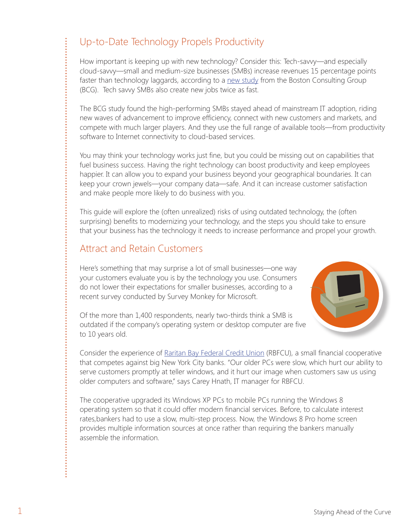# Up-to-Date Technology Propels Productivity

How important is keeping up with new technology? Consider this: Tech-savvy—and especially cloud-savvy—small and medium-size businesses (SMBs) increase revenues 15 percentage points faster than technology laggards, according to a [new study](https://www.bcgperspectives.com/content/articles/technology_software_globalization_ahead_curve_lessons_technology_growth_small_business_leaders/) from the Boston Consulting Group (BCG). Tech savvy SMBs also create new jobs twice as fast.

The BCG study found the high-performing SMBs stayed ahead of mainstream IT adoption, riding new waves of advancement to improve efficiency, connect with new customers and markets, and compete with much larger players. And they use the full range of available tools—from productivity software to Internet connectivity to cloud-based services.

You may think your technology works just fine, but you could be missing out on capabilities that fuel business success. Having the right technology can boost productivity and keep employees happier. It can allow you to expand your business beyond your geographical boundaries. It can keep your crown jewels—your company data—safe. And it can increase customer satisfaction and make people more likely to do business with you.

This guide will explore the (often unrealized) risks of using outdated technology, the (often surprising) benefits to modernizing your technology, and the steps you should take to ensure that your business has the technology it needs to increase performance and propel your growth.

## Attract and Retain Customers

Here's something that may surprise a lot of small businesses—one way your customers evaluate you is by the technology you use. Consumers do not lower their expectations for smaller businesses, according to a recent survey conducted by Survey Monkey for Microsoft.



Of the more than 1,400 respondents, nearly two-thirds think a SMB is outdated if the company's operating system or desktop computer are five to 10 years old.

Consider the experience of [Raritan Bay Federal Credit Union](http://aka.ms/Yga9j3) (RBFCU), a small financial cooperative that competes against big New York City banks. "Our older PCs were slow, which hurt our ability to serve customers promptly at teller windows, and it hurt our image when customers saw us using older computers and software," says Carey Hnath, IT manager for RBFCU.

The cooperative upgraded its Windows XP PCs to mobile PCs running the Windows 8 operating system so that it could offer modern financial services. Before, to calculate interest rates,bankers had to use a slow, multi-step process. Now, the Windows 8 Pro home screen provides multiple information sources at once rather than requiring the bankers manually assemble the information.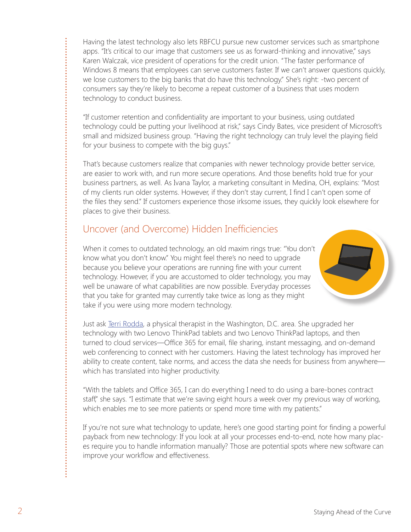Having the latest technology also lets RBFCU pursue new customer services such as smartphone apps. "It's critical to our image that customers see us as forward-thinking and innovative," says Karen Walczak, vice president of operations for the credit union. "The faster performance of Windows 8 means that employees can serve customers faster. If we can't answer questions quickly, we lose customers to the big banks that do have this technology." She's right: -two percent of consumers say they're likely to become a repeat customer of a business that uses modern technology to conduct business.

"If customer retention and confidentiality are important to your business, using outdated technology could be putting your livelihood at risk," says Cindy Bates, vice president of Microsoft's small and midsized business group. "Having the right technology can truly level the playing field for your business to compete with the big guys."

That's because customers realize that companies with newer technology provide better service, are easier to work with, and run more secure operations. And those benefits hold true for your business partners, as well. As Ivana Taylor, a marketing consultant in Medina, OH, explains: "Most of my clients run older systems. However, if they don't stay current, I find I can't open some of the files they send." If customers experience those irksome issues, they quickly look elsewhere for places to give their business.

## Uncover (and Overcome) Hidden Inefficiencies

When it comes to outdated technology, an old maxim rings true: "You don't know what you don't know." You might feel there's no need to upgrade because you believe your operations are running fine with your current technology. However, if you are accustomed to older technology, you may well be unaware of what capabilities are now possible. Everyday processes that you take for granted may currently take twice as long as they might take if you were using more modern technology.

Just ask [Terri Rodda, a](http://aka.ms/Dqrhlr) physical therapist in the Washington, D.C. area. She upgraded her technology with two Lenovo ThinkPad tablets and two Lenovo ThinkPad laptops, and then turned to cloud services—Office 365 for email, file sharing, instant messaging, and on-demand web conferencing to connect with her customers. Having the latest technology has improved her ability to create content, take norms, and access the data she needs for business from anywhere which has translated into higher productivity.

"With the tablets and Office 365, I can do everything I need to do using a bare-bones contract staff," she says. "I estimate that we're saving eight hours a week over my previous way of working, which enables me to see more patients or spend more time with my patients."

If you're not sure what technology to update, here's one good starting point for finding a powerful payback from new technology: If you look at all your processes end-to-end, note how many places require you to handle information manually? Those are potential spots where new software can improve your workflow and effectiveness.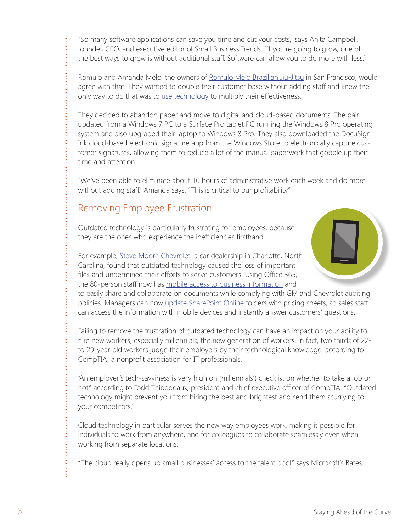"So many software applications can save you time and cut your costs," says Anita Campbell, founder, CEO, and executive editor of Small Business Trends. "If you're going to grow, one of the best ways to grow is without additional staff. Software can allow you to do more with less."

Romulo and Amanda Melo, the owners [of Romulo Melo Brazilian Jiu-Jitsu i](http://www.microsoftbusinesshub.com/Customer_Stories/Romulo_BJJ?WT.mc_id=G2MeGuideRomuloBJJ)n San Francisco, would agree with that. They wanted to double their customer base without adding staff and knew the only way to do that was t[o use technology to](http://aka.ms/Q2tryj) multiply their effectiveness.

They decided to abandon paper and move to digital and cloud-based documents. The pair updated from a Windows 7 PC to a Surface Pro tablet PC running the Windows 8 Pro operating system and also upgraded their laptop to Windows 8 Pro. They also downloaded the DocuSign Ink cloud-based electronic signature app from the Windows Store to electronically capture customer signatures, allowing them to reduce a lot of the manual paperwork that gobble up their time and attention.

"We've been able to eliminate about 10 hours of administrative work each week and do more without adding staff," Amanda says. "This is critical to our profitability."

# Removing Employee Frustration

Outdated technology is particularly frustrating for employees, because they are the ones who experience the inefficiencies firsthand.



For example[, Steve Moore Chevrolet,](http://www.microsoftbusinesshub.com/Customer_Stories/Steve_Moore_Chevrolet?WT.mc_id=G2MeGuideChevrolet) a car dealership in Charlotte, North Carolina, found that outdated technology caused the loss of important files and undermined their efforts to serve customers. Using Office 365, the 80-person staff now ha[s mobile access to business information a](http://aka.ms/wq9jlb)nd

to easily share and collaborate on documents while complying with GM and Chevrolet auditing policies. Managers can now [update SharePoint Online](http://aka.ms/Vi8ybr) folders with pricing sheets, so sales staff can access the information with mobile devices and instantly answer customers' questions.

Failing to remove the frustration of outdated technology can have an impact on your ability to hire new workers, especially millennials, the new generation of workers. In fact, two thirds of 22 to 29-year-old workers judge their employers by their technological knowledge, according to CompTIA, a nonprofit association for IT professionals.

"An employer's tech-savviness is very high on (millennials') checklist on whether to take a job or not," according to Todd Thibodeaux, president and chief executive officer of CompTIA. "Outdated technology might prevent you from hiring the best and brightest and send them scurrying to your competitors."

Cloud technology in particular serves the new way employees work, making it possible for individuals to work from anywhere, and for colleagues to collaborate seamlessly even when working from separate locations.

"The cloud really opens up small businesses' access to the talent pool," says Microsoft's Bates.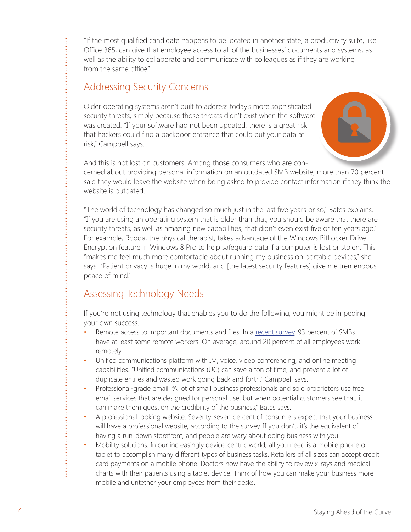"If the most qualified candidate happens to be located in another state, a productivity suite, like Office 365, can give that employee access to all of the businesses' documents and systems, as well as the ability to collaborate and communicate with colleagues as if they are working from the same office."

## Addressing Security Concerns

Older operating systems aren't built to address today's more sophisticated security threats, simply because those threats didn't exist when the software was created. "If your software had not been updated, there is a great risk that hackers could find a backdoor entrance that could put your data at risk," Campbell says.



And this is not lost on customers. Among those consumers who are concerned about providing personal information on an outdated SMB website, more than 70 percent said they would leave the website when being asked to provide contact information if they think the website is outdated.

"The world of technology has changed so much just in the last five years or so," Bates explains. "If you are using an operating system that is older than that, you should be aware that there are security threats, as well as amazing new capabilities, that didn't even exist five or ten years ago." For example, Rodda, the physical therapist, takes advantage of the Windows BitLocker Drive Encryption feature in Windows 8 Pro to help safeguard data if a computer is lost or stolen. This "makes me feel much more comfortable about running my business on portable devices," she says. "Patient privacy is huge in my world, and [the latest security features] give me tremendous peace of mind."

# Assessing Technology Needs

If you're not using technology that enables you to do the following, you might be impeding your own success.

- Remote access to important documents and files. In a [recent survey](http://www.sophos.com/en-us/security-news-trends/security-trends/network-security-survey.aspx), 93 percent of SMBs have at least some remote workers. On average, around 20 percent of all employees work remotely.
- Unified communications platform with IM, voice, video conferencing, and online meeting capabilities. "Unified communications (UC) can save a ton of time, and prevent a lot of duplicate entries and wasted work going back and forth," Campbell says.
- Professional-grade email. "A lot of small business professionals and sole proprietors use free email services that are designed for personal use, but when potential customers see that, it can make them question the credibility of the business," Bates says.
- A professional looking website. Seventy-seven percent of consumers expect that your business will have a professional website, according to the survey. If you don't, it's the equivalent of having a run-down storefront, and people are wary about doing business with you.
- Mobility solutions. In our increasingly device-centric world, all you need is a mobile phone or tablet to accomplish many different types of business tasks. Retailers of all sizes can accept credit card payments on a mobile phone. Doctors now have the ability to review x-rays and medical charts with their patients using a tablet device. Think of how you can make your business more mobile and untether your employees from their desks.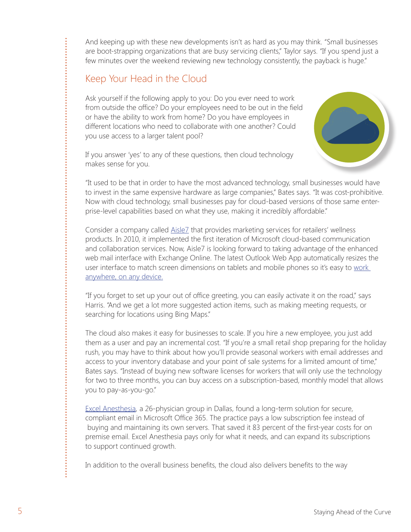And keeping up with these new developments isn't as hard as you may think. "Small businesses are boot-strapping organizations that are busy servicing clients," Taylor says. "If you spend just a few minutes over the weekend reviewing new technology consistently, the payback is huge."

## Keep Your Head in the Cloud

Ask yourself if the following apply to you: Do you ever need to work from outside the office? Do your employees need to be out in the field or have the ability to work from home? Do you have employees in different locations who need to collaborate with one another? Could you use access to a larger talent pool?

If you answer 'yes' to any of these questions, then cloud technology makes sense for you.

"It used to be that in order to have the most advanced technology, small businesses would have to invest in the same expensive hardware as large companies," Bates says. "It was cost-prohibitive. Now with cloud technology, small businesses pay for cloud-based versions of those same enterprise-level capabilities based on what they use, making it incredibly affordable."

Consider a company called [Aisle7](http://www.microsoftbusinesshub.com/Customer_Stories/Aisle7?WT.mc_id=G2MeGuideAisle7) that provides marketing services for retailers' wellness products. In 2010, it implemented the first iteration of Microsoft cloud-based communication and collaboration services. Now, Aisle7 is looking forward to taking advantage of the enhanced web mail interface with Exchange Online. The latest Outlook Web App automatically resizes the user interface to match screen dimensions on tablets and mobile phones so it's easy to work [anywhere, on any device.](http://aka.ms/U82r8n)

"If you forget to set up your out of office greeting, you can easily activate it on the road," says Harris. "And we get a lot more suggested action items, such as making meeting requests, or searching for locations using Bing Maps."

The cloud also makes it easy for businesses to scale. If you hire a new employee, you just add them as a user and pay an incremental cost. "If you're a small retail shop preparing for the holiday rush, you may have to think about how you'll provide seasonal workers with email addresses and access to your inventory database and your point of sale systems for a limited amount of time," Bates says. "Instead of buying new software licenses for workers that will only use the technology for two to three months, you can buy access on a subscription-based, monthly model that allows you to pay-as-you-go."

[Excel Anesthesia,](http://aka.ms/Lbbx7l) a 26-physician group in Dallas, found a long-term solution for secure, compliant email in Microsoft Office 365. The practice pays a low subscription fee instead of buying and maintaining its own servers. That saved it 83 percent of the first-year costs for on premise email. Excel Anesthesia pays only for what it needs, and can expand its subscriptions to support continued growth.

In addition to the overall business benefits, the cloud also delivers benefits to the way